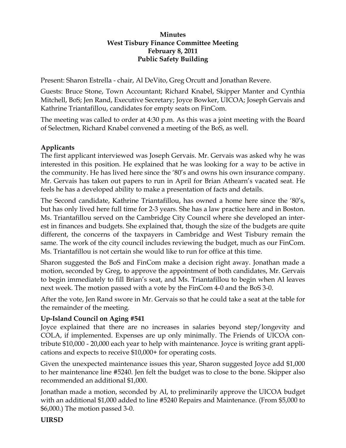### **Minutes West Tisbury Finance Committee Meeting February 8, 2011 Public Safety Building**

Present: Sharon Estrella - chair, Al DeVito, Greg Orcutt and Jonathan Revere.

Guests: Bruce Stone, Town Accountant; Richard Knabel, Skipper Manter and Cynthia Mitchell, BoS; Jen Rand, Executive Secretary; Joyce Bowker, UICOA; Joseph Gervais and Kathrine Triantafillou, candidates for empty seats on FinCom.

The meeting was called to order at 4:30 p.m. As this was a joint meeting with the Board of Selectmen, Richard Knabel convened a meeting of the BoS, as well.

### **Applicants**

The first applicant interviewed was Joseph Gervais. Mr. Gervais was asked why he was interested in this position. He explained that he was looking for a way to be active in the community. He has lived here since the '80's and owns his own insurance company. Mr. Gervais has taken out papers to run in April for Brian Athearn's vacated seat. He feels he has a developed ability to make a presentation of facts and details.

The Second candidate, Kathrine Triantafillou, has owned a home here since the '80's, but has only lived here full time for 2-3 years. She has a law practice here and in Boston. Ms. Triantafillou served on the Cambridge City Council where she developed an interest in finances and budgets. She explained that, though the size of the budgets are quite different, the concerns of the taxpayers in Cambridge and West Tisbury remain the same. The work of the city council includes reviewing the budget, much as our FinCom. Ms. Triantafillou is not certain she would like to run for office at this time.

Sharon suggested the BoS and FinCom make a decision right away. Jonathan made a motion, seconded by Greg, to approve the appointment of both candidates, Mr. Gervais to begin immediately to fill Brian's seat, and Ms. Triantafillou to begin when Al leaves next week. The motion passed with a vote by the FinCom 4-0 and the BoS 3-0.

After the vote, Jen Rand swore in Mr. Gervais so that he could take a seat at the table for the remainder of the meeting.

### **Up-Island Council on Aging #541**

Joyce explained that there are no increases in salaries beyond step/longevity and COLA, if implemented. Expenses are up only minimally. The Friends of UICOA contribute \$10,000 - 20,000 each year to help with maintenance. Joyce is writing grant applications and expects to receive \$10,000+ for operating costs.

Given the unexpected maintenance issues this year, Sharon suggested Joyce add \$1,000 to her maintenance line #5240. Jen felt the budget was to close to the bone. Skipper also recommended an additional \$1,000.

Jonathan made a motion, seconded by Al, to preliminarily approve the UICOA budget with an additional \$1,000 added to line #5240 Repairs and Maintenance. (From \$5,000 to \$6,000.) The motion passed 3-0.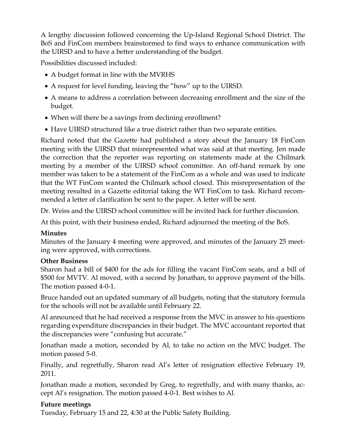A lengthy discussion followed concerning the Up-Island Regional School District. The BoS and FinCom members brainstormed to find ways to enhance communication with the UIRSD and to have a better understanding of the budget.

Possibilities discussed included:

- A budget format in line with the MVRHS
- A request for level funding, leaving the "how" up to the UIRSD.
- A means to address a correlation between decreasing enrollment and the size of the budget.
- When will there be a savings from declining enrollment?
- Have UIRSD structured like a true district rather than two separate entities.

Richard noted that the Gazette had published a story about the January 18 FinCom meeting with the UIRSD that misrepresented what was said at that meeting. Jen made the correction that the reporter was reporting on statements made at the Chilmark meeting by a member of the UIRSD school committee. An off-hand remark by one member was taken to be a statement of the FinCom as a whole and was used to indicate that the WT FinCom wanted the Chilmark school closed. This misrepresentation of the meeting resulted in a Gazette editorial taking the WT FinCom to task. Richard recommended a letter of clarification be sent to the paper. A letter will be sent.

Dr. Weiss and the UIRSD school committee will be invited back for further discussion.

At this point, with their business ended, Richard adjourned the meeting of the BoS.

# **Minutes**

Minutes of the January 4 meeting were approved, and minutes of the January 25 meeting were approved, with corrections.

# **Other Business**

Sharon had a bill of \$400 for the ads for filling the vacant FinCom seats, and a bill of \$500 for MVTV. Al moved, with a second by Jonathan, to approve payment of the bills. The motion passed 4-0-1.

Bruce handed out an updated summary of all budgets, noting that the statutory formula for the schools will not be available until February 22.

Al announced that he had received a response from the MVC in answer to his questions regarding expenditure discrepancies in their budget. The MVC accountant reported that the discrepancies were "confusing but accurate."

Jonathan made a motion, seconded by Al, to take no action on the MVC budget. The motion passed 5-0.

Finally, and regretfully, Sharon read Al's letter of resignation effective February 19, 2011.

Jonathan made a motion, seconded by Greg, to regretfully, and with many thanks, accept Al's resignation. The motion passed 4-0-1. Best wishes to Al.

# **Future meetings**

Tuesday, February 15 and 22, 4:30 at the Public Safety Building.